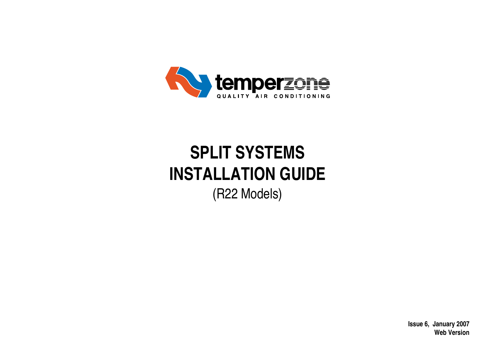

# **SPLIT SYSTEMS INSTALLATION GUIDE** (R22 Models)

**Issue 6, January 2007 Web Version**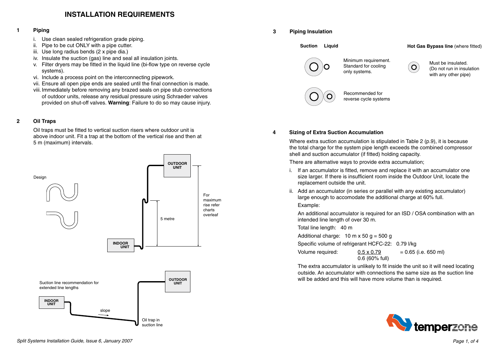# **INSTALLATION REQUIREMENTS**

## **1 Piping**

- i. Use clean sealed refrigeration grade piping.
- ii. Pipe to be cut ONLY with a pipe cutter.
- iii. Use long radius bends (2 x pipe dia.)
- iv. Insulate the suction (gas) line and seal all insulation joints.
- v. Filter dryers may be fitted in the liquid line (bi-flow type on reverse cycle systems).
- vi. Include a process point on the interconnecting pipework.
- vii. Ensure all open pipe ends are sealed until the final connection is made.
- viii. Immediately before removing any brazed seals on pipe stub connections of outdoor units, release any residual pressure using Schraeder valves provided on shut-off valves. **Warning**: Failure to do so may cause injury.

## **2 Oil Traps**

Oil traps must be fitted to vertical suction risers where outdoor unit is above indoor unit. Fit a trap at the bottom of the vertical rise and then at 5 m (maximum) intervals.





## **4 Sizing of Extra Suction Accumulation**

Where extra suction accumulation is stipulated in Table 2 (p.9), it is because the total charge for the system pipe length exceeds the combined compressor shell and suction accumulator (if fitted) holding capacity.

There are alternative ways to provide extra accumulation;

- i. If an accumulator is fitted, remove and replace it with an accumulator one size larger. If there is insufficient room inside the Outdoor Unit, locate the replacement outside the unit.
- ii. Add an accumulator (in series or parallel with any existing accumulator) large enough to accomodate the additional charge at 60% full. Example:

An additional accumulator is required for an ISD / OSA combination with an

 Total line length: 40 m

intended line length of over 30 m.

Additional charge:  $10 \text{ m} \times 50 \text{ q} = 500 \text{ q}$ 

 Specific volume of refrigerant HCFC-22: 0.79 l/kg

| Volume required: | $0.5 \times 0.79$ | $= 0.65$ (i.e. 650 ml) |
|------------------|-------------------|------------------------|
|                  | $0.6$ (60% full)  |                        |

 The extra accumulator is unlikely to fit inside the unit so it will need locating outside. An accumulator with connections the same size as the suction line will be added and this will have more volume than is required.

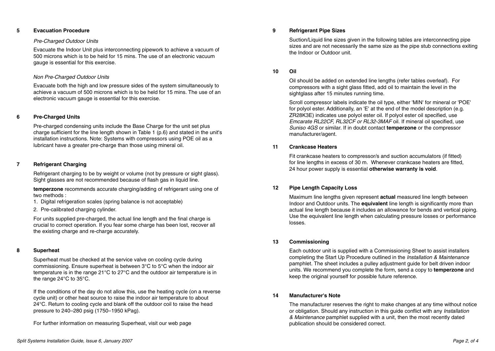#### Pre-Charged Outdoor Units

Evacuate the Indoor Unit plus interconnecting pipework to achieve a vacuum of 500 microns which is to be held for 15 mins. The use of an electronic vacuum gauge is essential for this exercise.

#### Non Pre-Charged Outdoor Units

Evacuate both the high and low pressure sides of the system simultaneously to achieve a vacuum of 500 microns which is to be held for 15 mins. The use of an electronic vacuum gauge is essential for this exercise.

#### **6 Pre-Charged Units**

 Pre-charged condensing units include the Base Charge for the unit set plus charge sufficient for the line length shown in Table 1 (p.6) and stated in the unit's installation instructions. Note: Systems with compressors using POE oil as a lubricant have a greater pre-charge than those using mineral oil.

## **7 Refrigerant Charging**

 Refrigerant charging to be by weight or volume (not by pressure or sight glass). Sight glasses are not recommended because of flash gas in liquid line.

**temperzone** recommends accurate charging/adding of refrigerant using one of two methods :

1. Digital refrigeration scales (spring balance is not acceptable)

2. Pre-calibrated charging cylinder.

For units supplied pre-charged, the actual line length and the final charge is crucial to correct operation. If you fear some charge has been lost, recover all the existing charge and re-charge accurately.

#### **8 Superheat**

Superheat must be checked at the service valve on cooling cycle during commissioning. Ensure superheat is between 3°C to 5°C when the indoor air temperature is in the range 21°C to 27°C and the outdoor air temperature is in the range 24°C to 35°C.

If the conditions of the day do not allow this, use the heating cycle (on a reverse cycle unit) or other heat source to raise the indoor air temperature to about 24°C. Return to cooling cycle and blank off the outdoor coil to raise the head pressure to 240–280 psig (1750–1950 kPag).

For further information on measuring Superheat, visit our web page

Suction/Liquid line sizes given in the following tables are interconnecting pipe sizes and are not necessarily the same size as the pipe stub connections exiting the Indoor or Outdoor unit.

#### **10 Oil**

 Oil should be added on extended line lengths (refer tables overleaf). For compressors with a sight glass fitted, add oil to maintain the level in the sightglass after 15 minutes running time.

 Scroll compressor labels indicate the oil type, either 'MIN' for mineral or 'POE' for polyol ester. Additionally, an 'E' at the end of the model description (e.g. ZR28K3E) indicates use polyol ester oil. If polyol ester oil specified, use Emcarate RL22CF, RL32CF or RL32-3MAF oil. If mineral oil specified, use Suniso 4GS or similar. If in doubt contact **temperzone** or the compressor manufacturer/agent.

#### **11 Crankcase Heaters**

 Fit crankcase heaters to compressor/s and suction accumulators (if fitted) for line lengths in excess of 30 m. Whenever crankcase heaters are fitted, 24 hour power supply is essential **otherwise warranty is void**.

#### **12 Pipe Length Capacity Loss**

 Maximum line lengths given represent **actual** measured line length between Indoor and Outdoor units. The **equivalent** line length is significantly more than actual line length because it includes an allowance for bends and vertical piping. Use the equivalent line length when calculating pressure losses or performance losses.

#### **13 Commissioning**

 Each outdoor unit is supplied with a Commissioning Sheet to assist installers completing the Start Up Procedure outlined in the Installation & Maintenance pamphlet. The sheet includes a pulley adjustment guide for belt driven indoor units. We recommend you complete the form, send a copy to **temperzone** and keep the original yourself for possible future reference.

#### **14 Manufacturer's Note**

 The manufacturer reserves the right to make changes at any time without notice or obligation. Should any instruction in this guide conflict with any *Installation* & Maintenance pamphlet supplied with a unit, then the most recently dated publication should be considered correct.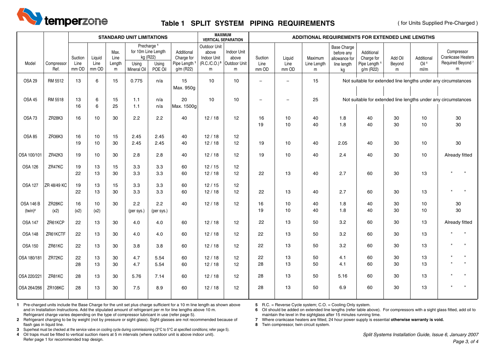

# **Table 1 SPLIT SYSTEM PIPING REQUIREMENTS**

( for Units Supplied Pre-Charged )

|                                |                    | <b>STANDARD UNIT LIMITATIONS</b> |                                     |                             |                                             |                                                        |                                                                   | <b>MAXIMUM</b><br><b>VERTICAL SEPARATION</b> |                                                                      |                          |                          |                             | ADDITIONAL REQUIREMENTS FOR EXTENDED LINE LENGTHS               |                                                                   |                        |                                        |                                                                             |  |
|--------------------------------|--------------------|----------------------------------|-------------------------------------|-----------------------------|---------------------------------------------|--------------------------------------------------------|-------------------------------------------------------------------|----------------------------------------------|----------------------------------------------------------------------|--------------------------|--------------------------|-----------------------------|-----------------------------------------------------------------|-------------------------------------------------------------------|------------------------|----------------------------------------|-----------------------------------------------------------------------------|--|
| Model                          | Compressor<br>Ref. | Suction<br>Line<br>mm OD         | Liquid<br>Line<br>mm OD             | Max.<br>Line<br>Length<br>m | for 10m Line Length<br>Using<br>Mineral Oil | Precharge <sup>1</sup><br>kg (R22)<br>Using<br>POE Oil | Additional<br>Charge for<br>Pipe Length <sup>1</sup><br>g/m (R22) | Outdoor Unit<br>above<br>Indoor Unit<br>m    | Indoor Unit<br>above<br>$(R.C./C.O.)$ <sup>5</sup> Outdoor Unit<br>m | Suction<br>Line<br>mm OD | Liquid<br>Line<br>mm OD  | Maximum<br>Line Length<br>m | Base Charge<br>before any<br>allowance for<br>line length<br>kg | Additional<br>Charge for<br>Pipe Length <sup>1</sup><br>g/m (R22) | Add Oil<br>Beyond<br>m | Additional<br>Oil <sup>6</sup><br>ml/m | Compressor<br><b>Crankcase Heaters</b><br>Required Beyond <sup>7</sup><br>m |  |
| <b>OSA 29</b>                  | RM 5512            | 13                               | 6                                   | 15                          | 0.775                                       | n/a                                                    | 15<br>Max. 950g                                                   | 10                                           | 10                                                                   | $\equiv$                 | $\overline{\phantom{0}}$ | 15                          |                                                                 |                                                                   |                        |                                        | Not suitable for extended line lengths under any circumstances              |  |
| OSA 45                         | RM 5518            | 13<br>16                         | 6<br>6                              | 15<br>25                    | 1.1<br>$1.1$                                | n/a<br>n/a                                             | 20<br>Max. 1500g                                                  | 10                                           | 10                                                                   | $\overline{\phantom{0}}$ | $\overline{\phantom{a}}$ | 25                          |                                                                 |                                                                   |                        |                                        | Not suitable for extended line lengths under any circumstances              |  |
| <b>OSA 73</b>                  | ZR28K3             | 16                               | 10                                  | 30                          | 2.2                                         | 2.2                                                    | 40                                                                | 12/18                                        | 12                                                                   | 16<br>19                 | 10<br>10                 | 40<br>40                    | 1.8<br>1.8                                                      | 40<br>40                                                          | 30<br>30               | 10<br>10                               | 30<br>$30\,$                                                                |  |
| <b>OSA 85</b>                  | ZR36K3             | 16<br>19                         | 10 <sup>1</sup><br>10 <sup>10</sup> | 15<br>30                    | 2.45<br>2.45                                | 2.45<br>2.45                                           | 40<br>40                                                          | 12/18<br>12/18                               | 12<br>12                                                             | 19                       | 10                       | 40                          | 2.05                                                            | 40                                                                | 30                     | 10                                     | 30                                                                          |  |
| OSA 100/101                    | ZR42K3             | 19                               | 10                                  | 30                          | 2.8                                         | 2.8                                                    | 40                                                                | 12/18                                        | 12                                                                   | 19                       | 10                       | 40                          | 2.4                                                             | 40                                                                | 30                     | 10                                     | Already fitted                                                              |  |
| <b>OSA 126</b>                 | ZR47KC             | 19<br>22                         | 13<br>13                            | 15<br>30                    | 3.3<br>3.3                                  | 3.3<br>3.3                                             | 60<br>60                                                          | 12/15<br>12/18                               | 12<br>12                                                             | 22                       | 13                       | 40                          | 2.7                                                             | 60                                                                | 30                     | 13                                     | $\mathbf{u}$<br>$\mathbf{u}$                                                |  |
| <b>OSA 127</b>                 | ZR 48/49 KC        | 19<br>22                         | 13<br>13                            | 15<br>30                    | 3.3<br>3.3                                  | 3.3<br>3.3                                             | 60<br>60                                                          | 12/15<br>12/18                               | 12<br>12                                                             | 22                       | 13                       | 40                          | 2.7                                                             | 60                                                                | 30                     | 13                                     | $\mathbf{u}$<br>$\mathbf{u}$                                                |  |
| <b>OSA 146 B</b><br>$(twin)^8$ | ZR28KC<br>(x2)     | 16<br>(x2)                       | 10 <sup>1</sup><br>(x2)             | 30                          | 2.2<br>(per sys.)                           | 2.2<br>(per sys.)                                      | 40                                                                | 12/18                                        | 12                                                                   | 16<br>19                 | 10<br>10                 | 40<br>40                    | 1.8<br>1.8                                                      | 40<br>40                                                          | 30<br>30               | 10<br>10                               | 30<br>30                                                                    |  |
| <b>OSA 147</b>                 | ZR61KCP            | 22                               | 13                                  | 30                          | 4.0                                         | 4.0                                                    | 60                                                                | 12/18                                        | 12                                                                   | 22                       | 13                       | 50                          | 3.2                                                             | 60                                                                | 30                     | 13                                     | Already fitted                                                              |  |
| <b>OSA 148</b>                 | ZR61KCTF           | 22                               | 13                                  | 30                          | 4.0                                         | 4.0                                                    | 60                                                                | 12/18                                        | 12                                                                   | 22                       | 13                       | 50                          | 3.2                                                             | 60                                                                | 30                     | 13                                     | $\mathbf{u}$<br>$\mathbf{u}$                                                |  |
| <b>OSA 150</b>                 | ZR61KC             | 22                               | 13                                  | 30                          | 3.8                                         | 3.8                                                    | 60                                                                | 12/18                                        | 12                                                                   | 22                       | 13                       | 50                          | 3.2                                                             | 60                                                                | 30                     | 13                                     | $\mathbf{u}$                                                                |  |
| OSA 180/181                    | ZR72KC             | 22<br>28                         | 13<br>13                            | 30<br>30                    | 4.7<br>4.7                                  | 5.54<br>5.54                                           | 60<br>60                                                          | 12/18<br>12/18                               | 12<br>12                                                             | 22<br>28                 | 13<br>13                 | 50<br>50                    | 4.1<br>4.1                                                      | 60<br>60                                                          | 30<br>30               | 13<br>13                               | $\mathbf{u}$                                                                |  |
| OSA 220/221                    | ZR81KC             | 28                               | 13                                  | 30                          | 5.76                                        | 7.14                                                   | 60                                                                | 12/18                                        | 12                                                                   | 28                       | 13                       | 50                          | 5.16                                                            | 60                                                                | 30                     | 13                                     | $\mathbf{u}$                                                                |  |
| OSA 264/266                    | <b>ZR108KC</b>     | 28                               | 13                                  | 30                          | 7.5                                         | 8.9                                                    | 60                                                                | 12/18                                        | 12                                                                   | 28                       | 13                       | 50                          | 6.9                                                             | 60                                                                | 30                     | 13                                     | $\mathbf{u}$                                                                |  |

**1** Pre-charged units include the Base Charge for the unit set plus charge sufficient for a 10 m line length as shown above and in Installation Instructions. Add the stipulated amount of refrigerant per m for line lengths above 10 m. Refrigerant charge varies depending on the type of compressor lubricant in use (refer page 5).

**5** R.C. = Reverse Cycle system; C.O. = Cooling Only system.

**6** Oil should be added on extended line lengths (refer table above). For compressors with a sight glass fitted, add oil to maintain the level in the sightglass after 15 minutes running time.

**2** Refrigerant charging to be by weight (not by pressure or sight glass). Sight glasses are not recommended because of flash gas in liquid line.

**3** Superheat must be checked at the service valve on cooling cycle during commissioning (3°C to 5°C at specified conditions; refer page 5).

**4** Oil traps must be fitted to vertical suction risers at 5 m intervals (where outdoor unit is above indoor unit). Refer page 1 for recommended trap design.

**7** Where crankcase heaters are fitted, 24 hour power supply is essential **otherwise warranty is void. 8** Twin compressor, twin circuit system.